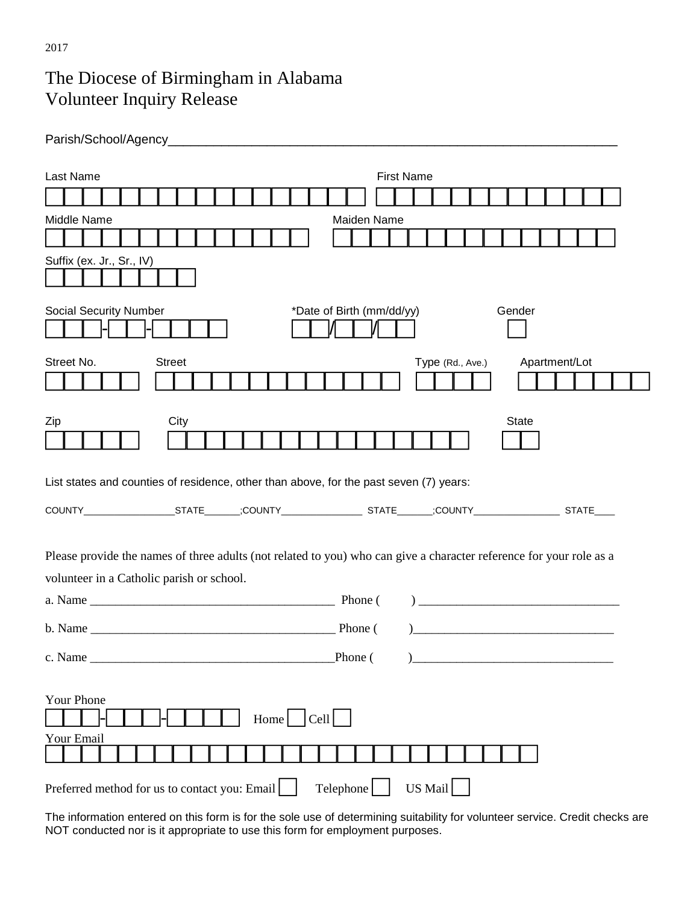## The Diocese of Birmingham in Alabama Volunteer Inquiry Release

| Last Name                                     | <b>First Name</b>                                                                                                   |
|-----------------------------------------------|---------------------------------------------------------------------------------------------------------------------|
|                                               |                                                                                                                     |
| Middle Name                                   | Maiden Name                                                                                                         |
|                                               |                                                                                                                     |
| Suffix (ex. Jr., Sr., IV)                     |                                                                                                                     |
|                                               |                                                                                                                     |
| <b>Social Security Number</b>                 | *Date of Birth (mm/dd/yy)<br>Gender                                                                                 |
|                                               |                                                                                                                     |
| Street No.<br><b>Street</b>                   | Type (Rd., Ave.)<br>Apartment/Lot                                                                                   |
|                                               |                                                                                                                     |
|                                               |                                                                                                                     |
| City<br>Zip                                   | State                                                                                                               |
|                                               |                                                                                                                     |
|                                               |                                                                                                                     |
|                                               | List states and counties of residence, other than above, for the past seven (7) years:                              |
|                                               |                                                                                                                     |
|                                               |                                                                                                                     |
|                                               | Please provide the names of three adults (not related to you) who can give a character reference for your role as a |
| volunteer in a Catholic parish or school.     |                                                                                                                     |
|                                               | a. Name Phone (Phone)<br>$\overline{a}$                                                                             |
|                                               | <u> 1989 - Johann Barbara, martxa alemaniar a</u>                                                                   |
|                                               |                                                                                                                     |
|                                               | Phone(<br><u> 1986 - Jan Samuel Barbara, margaret e</u>                                                             |
| Your Phone                                    |                                                                                                                     |
|                                               | Cell <br>Home                                                                                                       |
| Your Email                                    |                                                                                                                     |
|                                               |                                                                                                                     |
| Preferred method for us to contact you: Email | US Mail<br>Telephone                                                                                                |

The information entered on this form is for the sole use of determining suitability for volunteer service. Credit checks are NOT conducted nor is it appropriate to use this form for employment purposes.